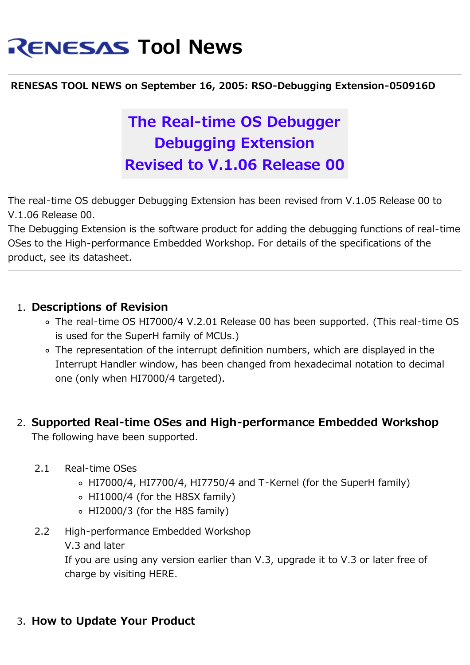# **RENESAS Tool News**

#### **RENESAS TOOL NEWS on September 16, 2005: RSO-Debugging Extension-050916D**

## **The Real-time OS Debugger Debugging Extension Revised to V.1.06 Release 00**

The real-time OS debugger Debugging Extension has been revised from V.1.05 Release 00 to V.1.06 Release 00.

The Debugging Extension is the software product for adding the debugging functions of real-time OSes to the High-performance Embedded Workshop. For details of the specifications of the product, see its datasheet.

#### 1. **Descriptions of Revision**

- The real-time OS HI7000/4 V.2.01 Release 00 has been supported. (This real-time OS is used for the SuperH family of MCUs.)
- The representation of the interrupt definition numbers, which are displayed in the Interrupt Handler window, has been changed from hexadecimal notation to decimal one (only when HI7000/4 targeted).

#### 2. **Supported Real-time OSes and High-performance Embedded Workshop** The following have been supported.

- 2.1 Real-time OSes
	- HI7000/4, HI7700/4, HI7750/4 and T-Kernel (for the SuperH family)
	- HI1000/4 (for the H8SX family)
	- HI2000/3 (for the H8S family)
- 2.2 High-performance Embedded Workshop
	- V.3 and later

If you are using any version earlier than V.3, upgrade it to V.3 or later free of charge by visiting HERE.

#### 3. **How to Update Your Product**